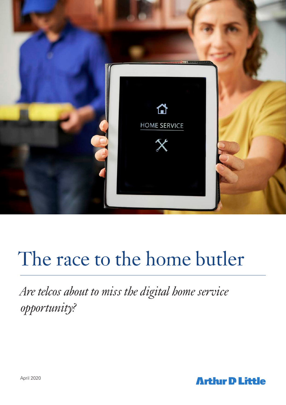

# The race to the home butler

*Are telcos about to miss the digital home service opportunity?*

**Arthir D Little**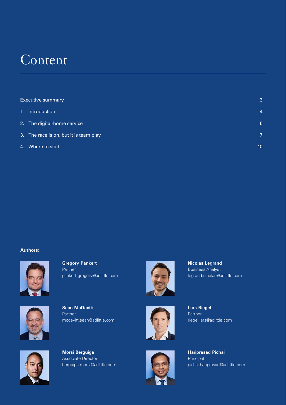## **Content**

|                | <b>Executive summary</b>               |    |
|----------------|----------------------------------------|----|
| 1 <sub>1</sub> | Introduction                           | 4  |
|                | 2. The digital-home service            | 5  |
|                | 3. The race is on, but it is team play | 7  |
|                | 4. Where to start                      | 10 |

#### **Authors:**



**Gregory Pankert** Partner pankert.gregory@adlittle.com



**Sean McDevitt**  Partner mcdevitt.sean@adlittle.com



**Morsi Berguiga**  Associate Director berguiga.morsi@adlittle.com







**Nicolas Legrand** Business Analyst legrand.nicolas@adlittle.com



**Hariprasad Pichai** Principal pichai.hariprasad@adlittle.com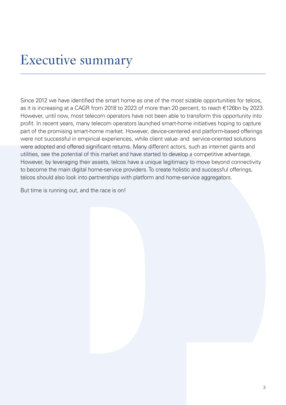## Executive summary

Since 2012 we have identified the smart home as one of the most sizable opportunities for telcos, as it is increasing at a CAGR from 2018 to 2023 of more than 20 percent, to reach €126bn by 2023. However, until now, most telecom operators have not been able to transform this opportunity into profit. In recent years, many telecom operators launched smart-home initiatives hoping to capture part of the promising smart-home market. However, device-centered and platform-based offerings were not successful in empirical experiences, while client value- and service-oriented solutions were adopted and offered significant returns. Many different actors, such as internet giants and utilities, see the potential of this market and have started to develop a competitive advantage. However, by leveraging their assets, telcos have a unique legitimacy to move beyond connectivity to become the main digital home-service providers. To create holistic and successful offerings, telcos should also look into partnerships with platform and home-service aggregators.

But time is running out, and the race is on!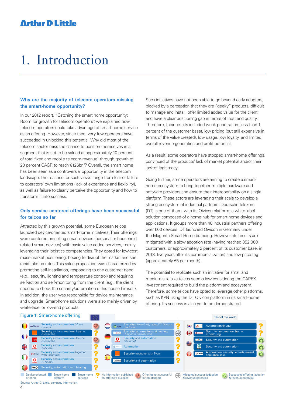## 1. Introduction

#### **Why are the majority of telecom operators missing the smart-home opportunity?**

In our 2012 report, "Catching the smart home opportunity: Room for growth for telecom operators", we explained how telecom operators could take advantage of smart-home service as an offering. However, since then, very few operators have succeeded in unlocking this potential. Why did most of the telecom sector miss the chance to position themselves in a segment that is set to be valued at approximately 10 percent of total fixed and mobile telecom revenue<sup>1</sup> through growth of 20 percent CAGR to reach €126bn<sup>2</sup>? Overall, the smart home has been seen as a controversial opportunity in the telecom landscape. The reasons for such views range from fear of failure to operators' own limitations (lack of experience and flexibility), as well as failure to clearly perceive the opportunity and how to transform it into success.

#### **Only service-centered offerings have been successful for telcos so far**

Attracted by this growth potential, some European telcos launched device-oriented smart-home initiatives. Their offerings were centered on selling smart devices (personal or householdrelated smart devices) with basic value-added services, mainly leveraging their logistics competencies. They opted for low-cost, mass-market positioning, hoping to disrupt the market and see rapid take-up rates. This value proposition was characterized by promoting self-installation, responding to one customer need (e.g., security, lighting and temperature control) and requiring self-action and self-monitoring from the client (e.g., the client needed to check the security/automation of his house himself). In addition, the user was responsible for device maintenance and upgrade. Smart-home solutions were also mainly driven by white-label or low-end products.

Such initiatives have not been able to go beyond early adopters, blocked by a perception that they are "geeky" products, difficult to manage and install, offer limited added value for the client, and have a clear positioning gap in terms of trust and quality. Therefore, their results included weak penetration (less than 1 percent of the customer base), low pricing (but still expensive in terms of the value created), low usage, low loyalty, and limited overall revenue generation and profit potential.

As a result, some operators have stopped smart-home offerings, convinced of the products' lack of market potential and/or their lack of legitimacy.

Going further, some operators are aiming to create a smarthome ecosystem to bring together multiple hardware and software providers and ensure their interoperability on a single platform. These actors are leveraging their scale to develop a strong ecosystem of industrial partners. Deutsche Telekom (DT) is one of them, with its Qivicon platform: a white-label solution composed of a home hub for smart-home devices and applications. It groups more than 40 industrial partners offering over 600 devices. DT launched Qivicon in Germany under the Magenta Smart Home branding. However, its results are mitigated with a slow adoption rate (having reached 352,000 customers, or approximately 2 percent of its customer base, in 2018, five years after its commercialization) and low-price tag (approximately €5 per month).

The potential to replicate such an initiative for small and medium-size size telcos seems low considering the CAPEX investment required to build the platform and ecosystem. Therefore, some telcos have opted to leverage other platforms, such as KPN using the DT Qivicon platform in its smart-home offering. Its success is also yet to be demonstrated.

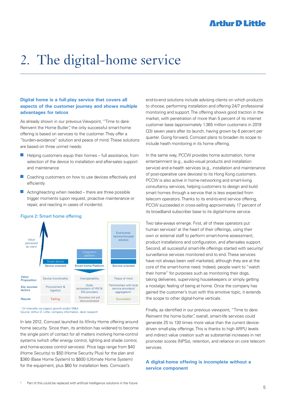## 2. The digital-home service

#### **Digital home is a full-play service that covers all aspects of the customer journey and shows multiple advantages for telcos**

As already shown in our previous Viewpoint, "Time to dare: Reinvent the Home Butler", the only successful smart-home offering is based on services to the customer. They offer a "burden-avoidance" solution and peace of mind. These solutions are based on three unmet needs:

- $\blacksquare$  Helping customers equip their homes full assistance, from selection of the device to installation and after-sales support and maintenance
- $\Box$  Coaching customers on how to use devices effectively and efficiently
- $\blacksquare$  Acting/reacting when needed there are three possible trigger moments (upon request, proactive maintenance or repair, and reacting in cases of incidents).

#### Figure 2: Smart home offering



<sup>1</sup> Or internally via organic growth and/or M&A Source: Arthur D. Little, company information, desk research

In late 2012, Comcast launched its Xfinity Home offering around home security. Since then, its ambition has widened to become the single point of contact for all matters involving home-control systems (which offer energy control, lighting and shade control, and home-access control services). Price tags range from \$40 (Home Security) to \$50 (Home Security Plus) for the plan and \$360 (Base Home System) to \$600 (Ultimate Home System) for the equipment, plus \$60 for installation fees. Comcast's

end-to-end solutions include advising clients on which products to choose, performing installation and offering 24/7 professional monitoring and support. The offering shows good traction in the market, with penetration of more than 5 percent of its internet customer base (approximately 1.365 million customers in 2019 Q3) seven years after its launch, having grown by 6 percent per quarter. Going forward, Comcast plans to broaden its scope to include heath monitoring in its home offering.

In the same way, PCCW provides home automation, home entertainment (e.g., audio-visual products and installation service) and e-health services (e.g., installation and maintenance of post-operative care devices) to its Hong Kong customers. PCCW is also active in home-networking and smart-living consultancy services, helping customers to design and build smart homes through a service that is less expected from telecom operators. Thanks to its end-to-end service offering, PCCW succeeded in cross-selling approximately 17 percent of its broadband subscriber base to its digital-home service.

Two take-aways emerge. First, all of these operators put human services<sup>3</sup> at the heart of their offerings, using their own or external staff to perform smart-home assessment, product installations and configuration, and after-sales support. Second, all successful smart-life offerings started with security/ surveillance services monitored end to end. These services have not always been well marketed, although they are at the core of the smart-home need. Indeed, people want to "watch their home" for purposes such as monitoring their dogs, taking deliveries, supervising housekeepers or simply getting a nostalgic feeling of being at home. Once the company has gained the customer's trust with this emotive topic, it extends the scope to other digital-home verticals.

Finally, as identified in our previous viewpoint, "Time to dare: Reinvent the home butler", overall, smart-life services could generate 25 to 130 times more value than the current devicedriven small-play offerings. This is thanks to high ARPU levels and indirect value creation such as substantial increases in net promoter scores (NPSs), retention, and reliance on core telecom services.

#### **A digital-home offering is incomplete without a service component**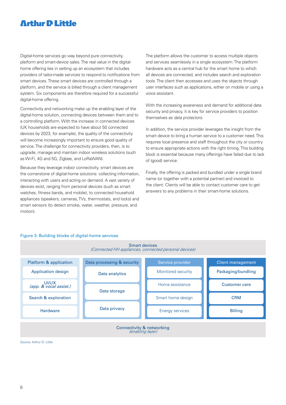Digital-home services go way beyond pure connectivity, platform and smart-device sales. The real value in the digitalhome offering lies in setting up an ecosystem that includes providers of tailor-made services to respond to notifications from smart devices. These smart devices are controlled through a platform, and the service is billed through a client management system. Six components are therefore required for a successful digital-home offering.

Connectivity and networking make up the enabling layer of the digital-home solution, connecting devices between them and to a controlling platform. With the increase in connected devices (UK households are expected to have about 50 connected devices by 2023, for example), the quality of the connectivity will become increasingly important to ensure good quality of service. The challenge for connectivity providers, then, is to upgrade, manage and maintain indoor wireless solutions (such as Wi-Fi, 4G and 5G, Zigbee, and LoRaWAN).

Because they leverage indoor connectivity, smart devices are the cornerstone of digital-home solutions: collecting information, interacting with users and acting on demand. A vast variety of devices exist, ranging from personal devices (such as smart watches, fitness bands, and mobile), to connected household appliances (speakers, cameras, TVs, thermostats, and locks) and smart sensors (to detect smoke, water, weather, pressure, and motion).

The platform allows the customer to access multiple objects and services seamlessly in a single ecosystem. The platform hardware acts as a central hub for the smart home to which all devices are connected, and includes search and exploration tools. The client then accesses and uses the objects through user interfaces such as applications, either on mobile or using a voice assistant.

With the increasing awareness and demand for additional data security and privacy, it is key for service providers to position themselves as data protectors.

In addition, the service provider leverages the insight from the smart device to bring a human service to a customer need. This requires local presence and staff throughout the city or country to ensure appropriate actions with the right timing. This building block is essential because many offerings have failed due to lack of (good) service.

Finally, the offering is packed and bundled under a single brand name (or together with a potential partner) and invoiced to the client. Clients will be able to contact customer care to get answers to any problems in their smart-home solutions.

#### Figure 3: Building blocks of digital-home services



Smart devices

Source: Arthur D. Little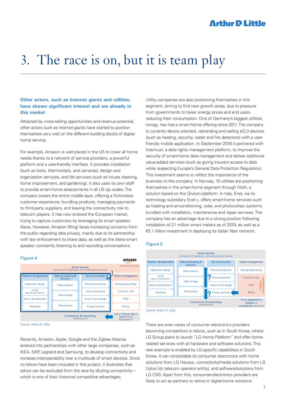## 3. The race is on, but it is team play

#### **Other actors, such as internet giants and utilities, have shown significant interest and are already in this market**

Attracted by cross-selling opportunities and revenue potential, other actors such as internet giants have started to position themselves very well on the different building blocks of digitalhome service.

For example, Amazon is well placed in the US to cover all home needs thanks to a network of service providers, a powerful platform and a user-friendly interface. It provides installation (such as locks, thermostats, and cameras), design and organization services, and life services (such as house cleaning, home improvement, and gardening). It also uses its own staff to provide smart-home assessments in all US zip codes. The company covers the entire middle layer, offering a frictionless customer experience: bundling products, managing payments to third-party suppliers, and leaving the connectivity role to telecom players. It has now entered the European market, trying to capture customers by leveraging its smart speaker, Alexa. However, Amazon (Ring) faces increasing concerns from the public regarding data privacy, mainly due to its partnership with law enforcement to share data, as well as the Alexa smart speaker constantly listening to and recording conversations.



Source: Arthur D. Little

Recently, Amazon, Apple, Google and the Zigbee Alliance entered into partnerships with other large companies, such as IKEA, NXP, Legrand and Samsung, to develop connectivity and increase interoperability over a multitude of smart devices. Since no telcos have been included in this project, it illustrates that telcos can be excluded from the race by diluting connectivity – which is one of their historical competitive advantages.

Utility companies are also positioning themselves in this segment, aiming to find new growth areas, due to pressure from governments to lower energy prices and end users reducing their consumption. One of Germany's biggest utilities, innogy, has had a smart-home offering since 2011. The company is currently device oriented, rebranding and selling eQ-3 devices (such as heating, security, water and fire detectors) with a userfriendly mobile application. In September 2018 it partnered with Intertrust, a data-rights management platform, to improve the security of smart-home data management and deliver additional value-added services (such as giving insurers access to data while respecting Europe's General Data Protection Regulation). This investment seems to reflect the importance of the business to the company. In Norway, 15 utilities are positioning themselves in the smart-home segment through Hitch, a solution based on the Qivicon platform. In Italy, Enel, via its technology subsidiary Enel x, offers smart-home services such as heating and air-conditioning, solar, and photovoltaic systems bundled with installation, maintenance and repair services. The company has an advantage due to a strong position following installation of 21 million smart meters as of 2019, as well as a €5.1 billion investment in deploying its Italian fiber network.

#### Figure 5



Source: Arthur D. Little

There are even cases of consumer electronics providers becoming competitors to telcos, such as in South Korea, where LG Group plans to launch "LG Home Platform" and offer homerelated services with all hardware and software solutions. This rare example is enabled by LG-specific capabilities in South Korea. It can consolidate its consumer electronics with home solutions from LG Hausys, connectivity/media solutions from LG Uplus (its telecom operator entity), and software/solutions from LG CNS. Apart from this, consumer-electronics providers are likely to act as partners to telcos in digital-home solutions.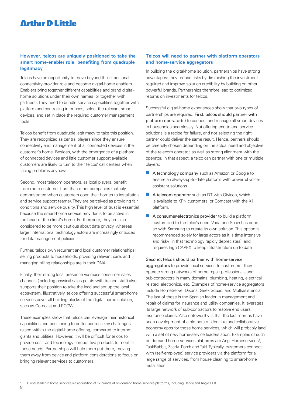#### **However, telcos are uniquely positioned to take the smart home-enabler role, benefiting from quadruple legitimacy**

Telcos have an opportunity to move beyond their traditional connectivity-provider role and become digital-home enablers. Enablers bring together different capabilities and brand digitalhome solutions under their own names (or together with partners). They need to bundle service capabilities together with platform and controlling interfaces, select the relevant smart devices, and set in place the required customer management tools.

Telcos benefit from quadruple legitimacy to take this position. They are recognized as central players since they ensure connectivity and management of all connected devices in the customer's home. Besides, with the emergence of a plethora of connected devices and little customer support available, customers are likely to turn to their telcos' call centers when facing problems anyhow.

Second, most telecom operators, as local players, benefit from more customer trust than other companies (notably demonstrated when customers open their homes to installation and service support teams). They are perceived as providing fair conditions and service quality. This high level of trust is essential because the smart-home service provider is to be active in the heart of the client's home. Furthermore, they are also considered to be more cautious about data privacy, whereas large, international technology actors are increasingly criticized for data management policies.

Further, telcos own recurrent and local customer relationships: selling products to households, providing relevant care, and managing billing relationships are in their DNA.

Finally, their strong local presence via mass consumer sales channels (including physical sales points with trained staff) also supports their position to take the lead and set up the local ecosystem. Illustratively, telcos offering successful smart-home services cover all building blocks of the digital-home solution, such as Comcast and PCCW.

These examples show that telcos can leverage their historical capabilities and positioning to better address key challenges raised within the digital-home offering, compared to internet giants and utilities. However, it will be difficult for telcos to provide cost- and technology-competitive products to meet all those needs. Partnerships will help them get there, moving them away from device and platform considerations to focus on bringing relevant services to customers.

#### **Telcos will need to partner with platform operators and home-service aggregators**

In building the digital-home solution, partnerships have strong advantages: they reduce risks by diminishing the investment required and improve solution credibility by building on other powerful brands. Partnerships therefore lead to optimized returns on investments for telcos.

Successful digital-home experiences show that two types of partnerships are required. First, telcos should partner with platform operator(s) to connect and manage all smart devices in households seamlessly. Not offering end-to-end service solutions is a recipe for failure, and not selecting the right partner could deliver the same result. Hence, partners should be carefully chosen depending on the actual need and objective of the telecom operator, as well as strong alignment with the operator. In that aspect, a telco can partner with one or multiple players:

- $\blacksquare$  A technology company such as Amazon or Google to ensure an always-up-to-date platform with powerful voiceassistant solutions.
- $\blacksquare$  A telecom operator such as DT with Qivicon, which is available to KPN customers, or Comcast with the X1 platform.
- $\blacksquare$  A consumer-electronics provider to build a platform customized to the telco's need. Vodafone Spain has done so with Samsung to create its own solution. This option is recommended solely for large actors as it is time intensive and risky (in that technology rapidly depreciates), and requires high CAPEX to keep infrastructure up to date

Second, telcos should partner with home-service

aggregators to provide local services to customers. They operate strong networks of home-repair professionals and sub-contractors in many domains: plumbing, heating, electrical related, electronics, etc. Examples of home-service aggregators include HomeServe, Dixons, Geek Squad, and Multiasistencia. The last of these is the Spanish leader in management and repair of claims for insurance and utility companies. It leverages its large network of sub-contractors to resolve end users' insurance claims. Also noteworthy is that the last months have seen development of a plethora of Uber-like and collaborativeeconomy apps for those home services, which will probably land with a set of new home-service leaders soon. Examples of such on-demand home-services platforms are Angi Homeservices<sup>5</sup>, TaskRabbit, Zaarly, Porch and Takl. Typically, customers connect with (self-employed) service providers via the platform for a large range of services, from house cleaning to smart-home installation.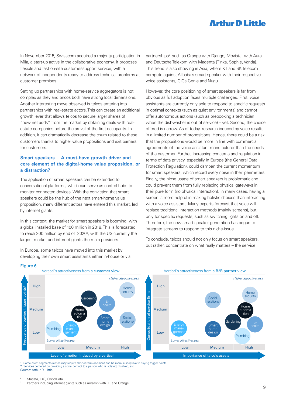In November 2015, Swisscom acquired a majority participation in Mila, a start-up active in the collaborative economy. It proposes flexible and fast on-site customer-support service, with a network of independents ready to address technical problems at customer premises.

Setting up partnerships with home-service aggregators is not complex as they and telcos both have strong local dimensions. Another interesting move observed is telcos entering into partnerships with real-estate actors. This can create an additional growth lever that allows telcos to secure larger shares of "new net adds" from the market by obtaining deals with realestate companies before the arrival of the first occupants. In addition, it can dramatically decrease the churn related to these customers thanks to higher value propositions and exit barriers for customers.

#### **Smart speakers – A must-have growth driver and core element of the digital-home value proposition, or a distraction?**

The application of smart speakers can be extended to conversational platforms, which can serve as control hubs to monitor connected devices. With the conviction that smart speakers could be the hub of the next smart-home value proposition, many different actors have entered this market, led by internet giants.

In this context, the market for smart speakers is booming, with a global installed base of 100 million in 2018. This is forecasted to reach 200 million by end of 2020<sup>6</sup>, with the US currently the largest market and internet giants the main providers.

In Europe, some telcos have moved into this market by developing their own smart assistants either in-house or via partnerships<sup>7</sup>, such as Orange with Django, Movistar with Aura and Deutsche Telekom with Magenta (Tinka, Sophie, Vanda). This trend is also showing in Asia, where KT and SK telecom compete against Alibaba's smart speaker with their respective voice assistants, GiGa Genie and Nugu.

However, the core positioning of smart speakers is far from obvious as full adoption faces multiple challenges. First, voice assistants are currently only able to respond to specific requests in optimal contexts (such as quiet environments) and cannot offer autonomous actions (such as prebooking a technician when the dishwasher is out of service) – yet. Second, the choice offered is narrow. As of today, research induced by voice results in a limited number of propositions. Hence, there could be a risk that the propositions would be more in line with commercial agreements of the voice assistant manufacturer than the needs of the customer. Further, increasing concerns and regulation in terms of data privacy, especially in Europe (the General Data Protection Regulation), could dampen the current momentum for smart speakers, which record every noise in their perimeters. Finally, the niche usage of smart speakers is problematic and could prevent them from fully replacing physical gateways in their pure form (no physical interaction). In many cases, having a screen is more helpful in making holistic choices than interacting with a voice assistant. Many experts forecast that voice will replace traditional interaction methods (mainly screens), but only for specific requests, such as switching lights on and off. Therefore, the new smart-speaker generation has begun to integrate screens to respond to this niche-issue.

To conclude, telcos should not only focus on smart speakers, but rather, concentrate on what really matters – the service.



1 Some client segments/niches may require shorter-term decisions and be more susceptible to buying trigger points 2 Services centered on providing a social contact to a person who is isolated, disabled, etc. Source: Arthur D. Little

Statista, IDC, GlobalData

Figure 6

Partners including internet giants such as Amazon with DT and Orange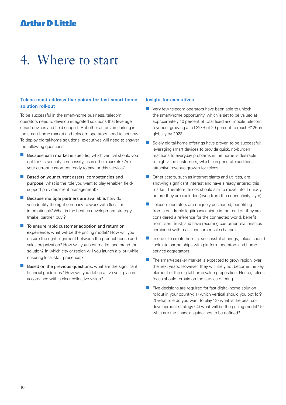## 4. Where to start

#### **Telcos must address five points for fast smart-home solution roll-out**

To be successful in the smart-home business, telecom operators need to develop integrated solutions that leverage smart devices and field support. But other actors are lurking in the smart-home market and telecom operators need to act now. To deploy digital-home solutions, executives will need to answer the following questions:

- $\blacksquare$  Because each market is specific, which vertical should you opt for? Is security a necessity, as in other markets? Are your current customers ready to pay for this service?
- Based on your current assets, competencies and purpose, what is the role you want to play (enabler, fieldsupport provider, client management)?
- $\blacksquare$  Because multiple partners are available, how do you identify the right company to work with (local or international)? What is the best co-development strategy (make, partner, buy)?
- $\blacksquare$  To ensure rapid customer adoption and return on experience, what will be the pricing model? How will you ensure the right alignment between the product house and sales organization? How will you best market and brand the solution? In which city or region will you launch a pilot (while ensuring local staff presence)?
- Based on the previous questions, what are the significant financial guidelines? How will you define a five-year plan in accordance with a clear collective vision?

#### **Insight for executives**

- $\blacksquare$  Very few telecom operators have been able to unlock the smart-home opportunity, which is set to be valued at approximately 10 percent of total fixed and mobile telecom revenue, growing at a CAGR of 20 percent to reach €126bn globally by 2023.
- $\blacksquare$  Solely digital-home offerings have proven to be successful: leveraging smart devices to provide quick, no-burden reactions to everyday problems in the home is desirable to high-value customers, which can generate additional attractive revenue growth for telcos.
- $\Box$  Other actors, such as internet giants and utilities, are showing significant interest and have already entered this market. Therefore, telcos should aim to move into it quickly, before they are excluded (even from the connectivity layer).
- $\blacksquare$  Telecom operators are uniquely positioned, benefiting from a quadruple legitimacy unique in the market: they are considered a reference for the connected world, benefit from client trust, and have recurring customer relationships combined with mass consumer sale channels.
- $\blacksquare$  In order to create holistic, successful offerings, telcos should look into partnerships with platform operators and homeservice aggregators.
- $\blacksquare$  The smart-speaker market is expected to grow rapidly over the next years. However, they will likely not become the key element of the digital-home value proposition. Hence, telcos' focus should remain on the service offering.
- $\blacksquare$  Five decisions are required for fast digital-home solution rollout in your country: 1) which vertical should you opt for? 2) what role do you want to play? 3) what is the best codevelopment strategy? 4) what will be the pricing model? 5) what are the financial guidelines to be defined?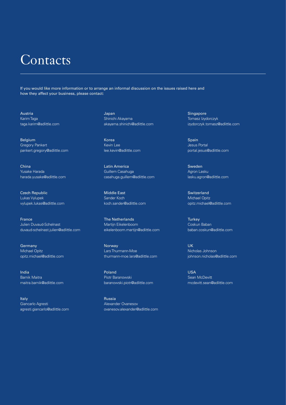## Contacts

If you would like more information or to arrange an informal discussion on the issues raised here and how they affect your business, please contact:

Austria Karim Taga taga.karim@adlittle.com

Belgium Gregory Pankert pankert.gregory@adlittle.com

China Yusake Harada harada.yusake@adlittle.com

Czech Republic Lukas Vylupek vylupek.lukas@adlittle.com

France Julien Duvaud-Schelnast duvaud-schelnast.julien@adlittle.com

Germany Michael Opitz opitz.michael@adlittle.com

India Barnik Maitra maitra.barnik@adlittle.com

Italy Giancarlo Agresti agresti.giancarlo@adlittle.com Japan Shinichi Akayama akayama.shinichi@adlittle.com

Korea Kevin Lee lee.kevin@adlittle.com

Latin America Guillem Casahuga casahuga.guillem@adlittle.com

Middle East Sander Koch koch.sander@adlittle.com

The Netherlands Martijn Eikelenboom eikelenboom.martijn@adlittle.com

Norway Lars Thurmann-Moe thurmann-moe.lars@adlittle.com

Poland Piotr Baranowski baranowski.piotr@adlittle.com

Russia Alexander Ovanesov ovanesov.alexander@adlittle.com Singapore Tomasz Izydorczyk izydorczyk.tomasz@adlittle.com

Spain Jesus Portal portal.jesus@adlittle.com

Sweden Agron Lasku lasku.agron@adlittle.com

**Switzerland** Michael Opitz opitz.michael@adlittle.com

**Turkey** Coskun Baban baban.coskun@adlittle.com

UK Nicholas Johnson johnson.nicholas@adlittle.com

USA Sean McDevitt mcdevitt.sean@adlittle.com